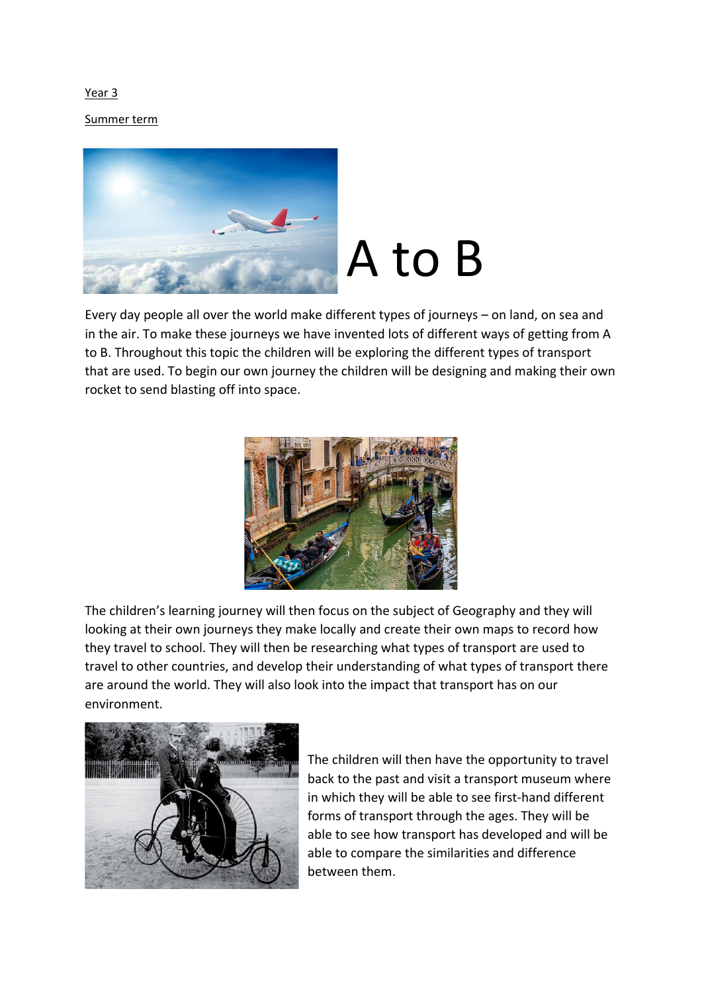Year 3

Summer term



Every day people all over the world make different types of journeys – on land, on sea and in the air. To make these journeys we have invented lots of different ways of getting from A to B. Throughout this topic the children will be exploring the different types of transport that are used. To begin our own journey the children will be designing and making their own rocket to send blasting off into space.



The children's learning journey will then focus on the subject of Geography and they will looking at their own journeys they make locally and create their own maps to record how they travel to school. They will then be researching what types of transport are used to travel to other countries, and develop their understanding of what types of transport there are around the world. They will also look into the impact that transport has on our environment.



The children will then have the opportunity to travel back to the past and visit a transport museum where in which they will be able to see first-hand different forms of transport through the ages. They will be able to see how transport has developed and will be able to compare the similarities and difference between them.